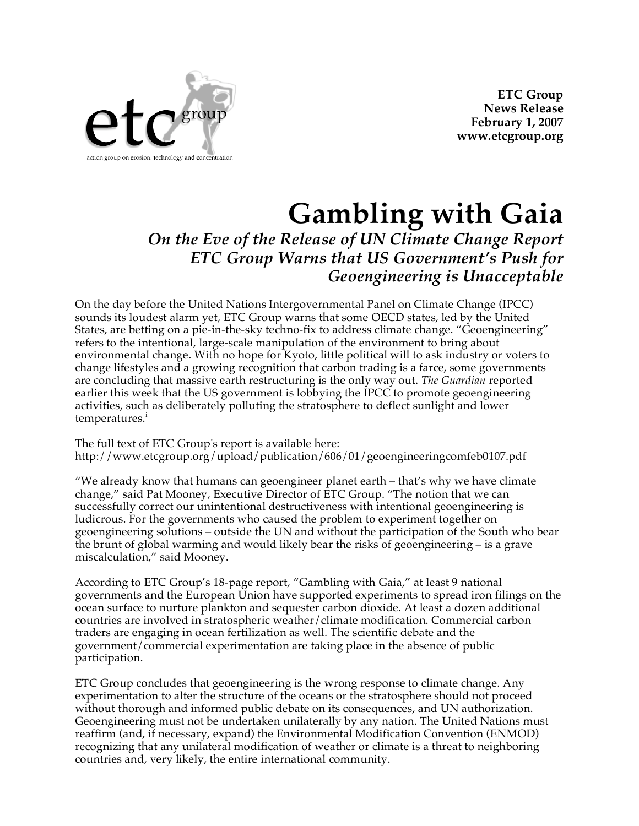

**ETC Group News Release February 1, 2007 www.etcgroup.org**

## **Gambling with Gaia**

*On the Eve of the Release of UN Climate Change Report ETC Group Warns that US Government's Push for Geoengineering is Unacceptable*

On the day before the United Nations Intergovernmental Panel on Climate Change (IPCC) sounds its loudest alarm yet, ETC Group warns that some OECD states, led by the United States, are betting on a pie-in-the-sky techno-fix to address climate change. "Geoengineering" refers to the intentional, large-scale manipulation of the environment to bring about environmental change. With no hope for Kyoto, little political will to ask industry or voters to change lifestyles and a growing recognition that carbon trading is a farce, some governments are concluding that massive earth restructuring is the only way out. *The Guardian* reported earlier this week that the US government is lobbying the IPCC to promote geoengineering activities, such as deliberately polluting the stratosphere to deflect sunlight and lower temperatures.<sup>i</sup>

The full text of ETC Group's report is available here: http://www.etcgroup.org/upload/publication/606/01/geoengineeringcomfeb0107.pdf

"We already know that humans can geoengineer planet earth – that's why we have climate change," said Pat Mooney, Executive Director of ETC Group. "The notion that we can successfully correct our unintentional destructiveness with intentional geoengineering is ludicrous. For the governments who caused the problem to experiment together on geoengineering solutions – outside the UN and without the participation of the South who bear the brunt of global warming and would likely bear the risks of geoengineering – is a grave miscalculation," said Mooney.

According to ETC Group's 18-page report, "Gambling with Gaia," at least 9 national governments and the European Union have supported experiments to spread iron filings on the ocean surface to nurture plankton and sequester carbon dioxide. At least a dozen additional countries are involved in stratospheric weather/climate modification. Commercial carbon traders are engaging in ocean fertilization as well. The scientific debate and the government/commercial experimentation are taking place in the absence of public participation.

ETC Group concludes that geoengineering is the wrong response to climate change. Any experimentation to alter the structure of the oceans or the stratosphere should not proceed without thorough and informed public debate on its consequences, and UN authorization. Geoengineering must not be undertaken unilaterally by any nation. The United Nations must reaffirm (and, if necessary, expand) the Environmental Modification Convention (ENMOD) recognizing that any unilateral modification of weather or climate is a threat to neighboring countries and, very likely, the entire international community.